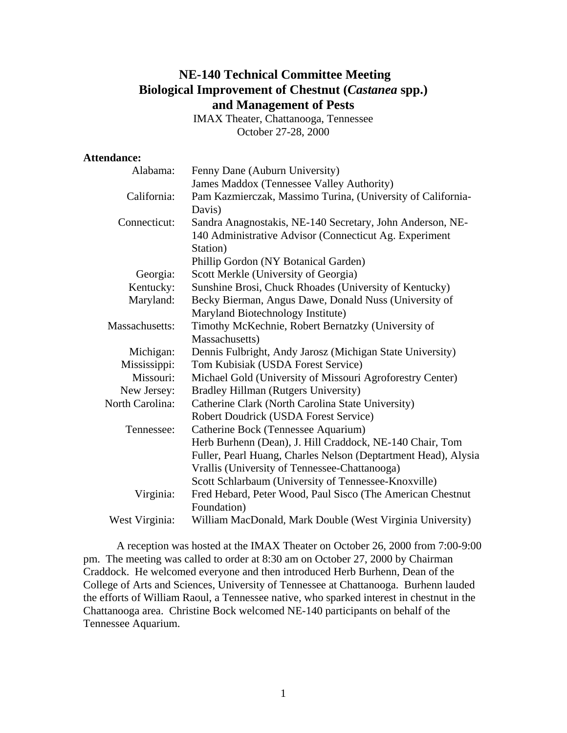# **NE-140 Technical Committee Meeting Biological Improvement of Chestnut (***Castanea* **spp.) and Management of Pests**

IMAX Theater, Chattanooga, Tennessee October 27-28, 2000

### **Attendance:**

| Alabama:        | Fenny Dane (Auburn University)                                 |  |  |
|-----------------|----------------------------------------------------------------|--|--|
|                 | James Maddox (Tennessee Valley Authority)                      |  |  |
| California:     | Pam Kazmierczak, Massimo Turina, (University of California-    |  |  |
|                 | Davis)                                                         |  |  |
| Connecticut:    | Sandra Anagnostakis, NE-140 Secretary, John Anderson, NE-      |  |  |
|                 | 140 Administrative Advisor (Connecticut Ag. Experiment         |  |  |
|                 | Station)                                                       |  |  |
|                 | Phillip Gordon (NY Botanical Garden)                           |  |  |
| Georgia:        | Scott Merkle (University of Georgia)                           |  |  |
| Kentucky:       | Sunshine Brosi, Chuck Rhoades (University of Kentucky)         |  |  |
| Maryland:       | Becky Bierman, Angus Dawe, Donald Nuss (University of          |  |  |
|                 | Maryland Biotechnology Institute)                              |  |  |
| Massachusetts:  | Timothy McKechnie, Robert Bernatzky (University of             |  |  |
|                 | Massachusetts)                                                 |  |  |
| Michigan:       | Dennis Fulbright, Andy Jarosz (Michigan State University)      |  |  |
| Mississippi:    | Tom Kubisiak (USDA Forest Service)                             |  |  |
| Missouri:       | Michael Gold (University of Missouri Agroforestry Center)      |  |  |
| New Jersey:     | Bradley Hillman (Rutgers University)                           |  |  |
| North Carolina: | Catherine Clark (North Carolina State University)              |  |  |
|                 | Robert Doudrick (USDA Forest Service)                          |  |  |
| Tennessee:      | Catherine Bock (Tennessee Aquarium)                            |  |  |
|                 | Herb Burhenn (Dean), J. Hill Craddock, NE-140 Chair, Tom       |  |  |
|                 | Fuller, Pearl Huang, Charles Nelson (Deptartment Head), Alysia |  |  |
|                 | Vrallis (University of Tennessee-Chattanooga)                  |  |  |
|                 | Scott Schlarbaum (University of Tennessee-Knoxville)           |  |  |
| Virginia:       | Fred Hebard, Peter Wood, Paul Sisco (The American Chestnut     |  |  |
|                 | Foundation)                                                    |  |  |
| West Virginia:  | William MacDonald, Mark Double (West Virginia University)      |  |  |

 A reception was hosted at the IMAX Theater on October 26, 2000 from 7:00-9:00 pm. The meeting was called to order at 8:30 am on October 27, 2000 by Chairman Craddock. He welcomed everyone and then introduced Herb Burhenn, Dean of the College of Arts and Sciences, University of Tennessee at Chattanooga. Burhenn lauded the efforts of William Raoul, a Tennessee native, who sparked interest in chestnut in the Chattanooga area. Christine Bock welcomed NE-140 participants on behalf of the Tennessee Aquarium.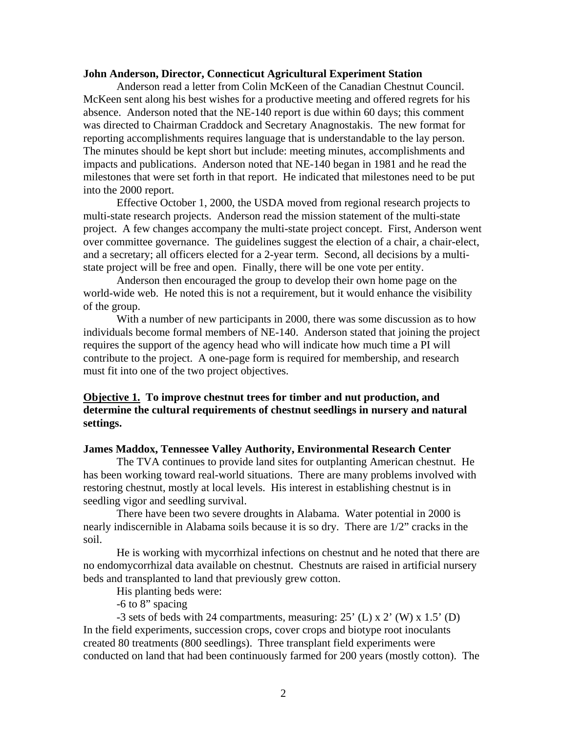#### **John Anderson, Director, Connecticut Agricultural Experiment Station**

 Anderson read a letter from Colin McKeen of the Canadian Chestnut Council. McKeen sent along his best wishes for a productive meeting and offered regrets for his absence. Anderson noted that the NE-140 report is due within 60 days; this comment was directed to Chairman Craddock and Secretary Anagnostakis. The new format for reporting accomplishments requires language that is understandable to the lay person. The minutes should be kept short but include: meeting minutes, accomplishments and impacts and publications. Anderson noted that NE-140 began in 1981 and he read the milestones that were set forth in that report. He indicated that milestones need to be put into the 2000 report.

 Effective October 1, 2000, the USDA moved from regional research projects to multi-state research projects. Anderson read the mission statement of the multi-state project. A few changes accompany the multi-state project concept. First, Anderson went over committee governance. The guidelines suggest the election of a chair, a chair-elect, and a secretary; all officers elected for a 2-year term. Second, all decisions by a multistate project will be free and open. Finally, there will be one vote per entity.

 Anderson then encouraged the group to develop their own home page on the world-wide web. He noted this is not a requirement, but it would enhance the visibility of the group.

 With a number of new participants in 2000, there was some discussion as to how individuals become formal members of NE-140. Anderson stated that joining the project requires the support of the agency head who will indicate how much time a PI will contribute to the project. A one-page form is required for membership, and research must fit into one of the two project objectives.

### **Objective 1. To improve chestnut trees for timber and nut production, and determine the cultural requirements of chestnut seedlings in nursery and natural settings.**

#### **James Maddox, Tennessee Valley Authority, Environmental Research Center**

 The TVA continues to provide land sites for outplanting American chestnut. He has been working toward real-world situations. There are many problems involved with restoring chestnut, mostly at local levels. His interest in establishing chestnut is in seedling vigor and seedling survival.

 There have been two severe droughts in Alabama. Water potential in 2000 is nearly indiscernible in Alabama soils because it is so dry. There are 1/2" cracks in the soil.

 He is working with mycorrhizal infections on chestnut and he noted that there are no endomycorrhizal data available on chestnut. Chestnuts are raised in artificial nursery beds and transplanted to land that previously grew cotton.

His planting beds were:

-6 to 8" spacing

-3 sets of beds with 24 compartments, measuring:  $25'$  (L) x 2' (W) x 1.5' (D) In the field experiments, succession crops, cover crops and biotype root inoculants created 80 treatments (800 seedlings). Three transplant field experiments were conducted on land that had been continuously farmed for 200 years (mostly cotton). The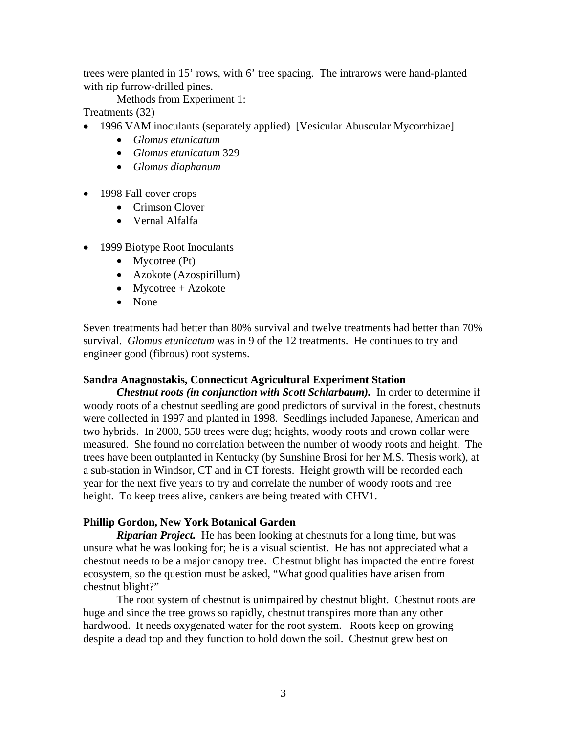trees were planted in 15' rows, with 6' tree spacing. The intrarows were hand-planted with rip furrow-drilled pines.

Methods from Experiment 1:

Treatments (32)

- 1996 VAM inoculants (separately applied) [Vesicular Abuscular Mycorrhizae]
	- *Glomus etunicatum*
	- *Glomus etunicatum* 329
	- *Glomus diaphanum*
- 1998 Fall cover crops
	- Crimson Clover
	- Vernal Alfalfa
- 1999 Biotype Root Inoculants
	- Mycotree (Pt)
	- Azokote (Azospirillum)
	- Mycotree + Azokote
	- None

Seven treatments had better than 80% survival and twelve treatments had better than 70% survival. *Glomus etunicatum* was in 9 of the 12 treatments. He continues to try and engineer good (fibrous) root systems.

# **Sandra Anagnostakis, Connecticut Agricultural Experiment Station**

*Chestnut roots (in conjunction with Scott Schlarbaum).* In order to determine if woody roots of a chestnut seedling are good predictors of survival in the forest, chestnuts were collected in 1997 and planted in 1998. Seedlings included Japanese, American and two hybrids. In 2000, 550 trees were dug; heights, woody roots and crown collar were measured. She found no correlation between the number of woody roots and height. The trees have been outplanted in Kentucky (by Sunshine Brosi for her M.S. Thesis work), at a sub-station in Windsor, CT and in CT forests. Height growth will be recorded each year for the next five years to try and correlate the number of woody roots and tree height. To keep trees alive, cankers are being treated with CHV1.

# **Phillip Gordon, New York Botanical Garden**

 *Riparian Project.* He has been looking at chestnuts for a long time, but was unsure what he was looking for; he is a visual scientist. He has not appreciated what a chestnut needs to be a major canopy tree. Chestnut blight has impacted the entire forest ecosystem, so the question must be asked, "What good qualities have arisen from chestnut blight?"

 The root system of chestnut is unimpaired by chestnut blight. Chestnut roots are huge and since the tree grows so rapidly, chestnut transpires more than any other hardwood. It needs oxygenated water for the root system. Roots keep on growing despite a dead top and they function to hold down the soil. Chestnut grew best on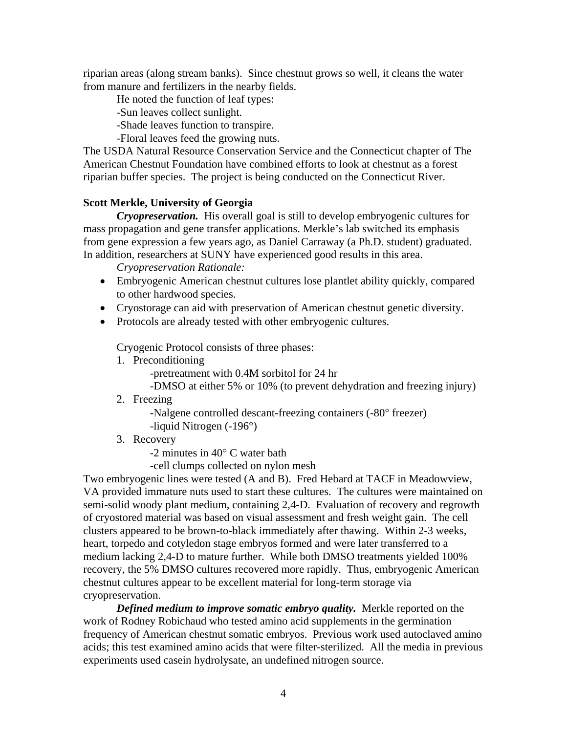riparian areas (along stream banks). Since chestnut grows so well, it cleans the water from manure and fertilizers in the nearby fields.

He noted the function of leaf types:

-Sun leaves collect sunlight.

-Shade leaves function to transpire.

-Floral leaves feed the growing nuts.

The USDA Natural Resource Conservation Service and the Connecticut chapter of The American Chestnut Foundation have combined efforts to look at chestnut as a forest riparian buffer species. The project is being conducted on the Connecticut River.

### **Scott Merkle, University of Georgia**

*Cryopreservation.* His overall goal is still to develop embryogenic cultures for mass propagation and gene transfer applications. Merkle's lab switched its emphasis from gene expression a few years ago, as Daniel Carraway (a Ph.D. student) graduated. In addition, researchers at SUNY have experienced good results in this area.

*Cryopreservation Rationale:* 

- Embryogenic American chestnut cultures lose plantlet ability quickly, compared to other hardwood species.
- Cryostorage can aid with preservation of American chestnut genetic diversity.
- Protocols are already tested with other embryogenic cultures.

Cryogenic Protocol consists of three phases:

1. Preconditioning

-pretreatment with 0.4M sorbitol for 24 hr

-DMSO at either 5% or 10% (to prevent dehydration and freezing injury)

2. Freezing

-Nalgene controlled descant-freezing containers (-80° freezer)

-liquid Nitrogen (-196°)

3. Recovery

-2 minutes in 40° C water bath

-cell clumps collected on nylon mesh

Two embryogenic lines were tested (A and B). Fred Hebard at TACF in Meadowview, VA provided immature nuts used to start these cultures. The cultures were maintained on semi-solid woody plant medium, containing 2,4-D. Evaluation of recovery and regrowth of cryostored material was based on visual assessment and fresh weight gain. The cell clusters appeared to be brown-to-black immediately after thawing. Within 2-3 weeks, heart, torpedo and cotyledon stage embryos formed and were later transferred to a medium lacking 2,4-D to mature further. While both DMSO treatments yielded 100% recovery, the 5% DMSO cultures recovered more rapidly. Thus, embryogenic American chestnut cultures appear to be excellent material for long-term storage via cryopreservation.

*Defined medium to improve somatic embryo quality.* Merkle reported on the work of Rodney Robichaud who tested amino acid supplements in the germination frequency of American chestnut somatic embryos. Previous work used autoclaved amino acids; this test examined amino acids that were filter-sterilized. All the media in previous experiments used casein hydrolysate, an undefined nitrogen source.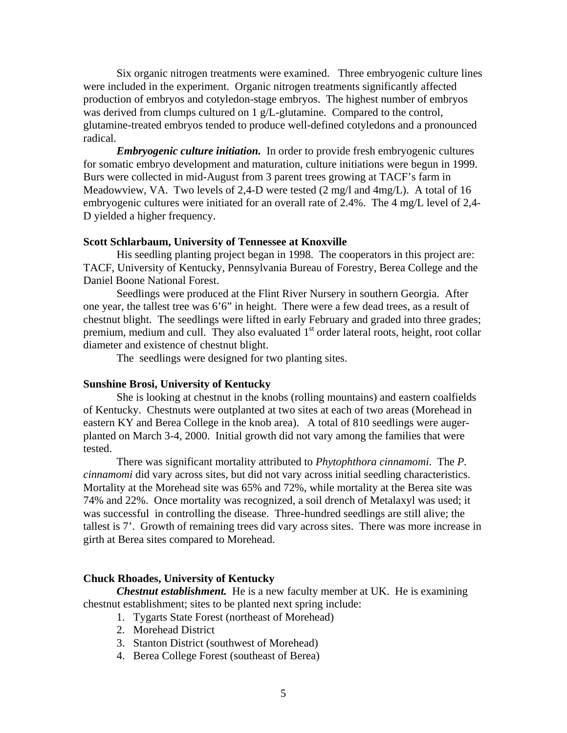Six organic nitrogen treatments were examined. Three embryogenic culture lines were included in the experiment. Organic nitrogen treatments significantly affected production of embryos and cotyledon-stage embryos. The highest number of embryos was derived from clumps cultured on 1 g/L-glutamine. Compared to the control, glutamine-treated embryos tended to produce well-defined cotyledons and a pronounced radical.

*Embryogenic culture initiation.* In order to provide fresh embryogenic cultures for somatic embryo development and maturation, culture initiations were begun in 1999. Burs were collected in mid-August from 3 parent trees growing at TACF's farm in Meadowview, VA. Two levels of 2,4-D were tested (2 mg/l and 4mg/L). A total of 16 embryogenic cultures were initiated for an overall rate of 2.4%. The 4 mg/L level of 2,4- D yielded a higher frequency.

#### **Scott Schlarbaum, University of Tennessee at Knoxville**

His seedling planting project began in 1998. The cooperators in this project are: TACF, University of Kentucky, Pennsylvania Bureau of Forestry, Berea College and the Daniel Boone National Forest.

Seedlings were produced at the Flint River Nursery in southern Georgia. After one year, the tallest tree was 6'6" in height. There were a few dead trees, as a result of chestnut blight. The seedlings were lifted in early February and graded into three grades; premium, medium and cull. They also evaluated 1<sup>st</sup> order lateral roots, height, root collar diameter and existence of chestnut blight.

The seedlings were designed for two planting sites.

#### **Sunshine Brosi, University of Kentucky**

 She is looking at chestnut in the knobs (rolling mountains) and eastern coalfields of Kentucky. Chestnuts were outplanted at two sites at each of two areas (Morehead in eastern KY and Berea College in the knob area). A total of 810 seedlings were augerplanted on March 3-4, 2000. Initial growth did not vary among the families that were tested.

 There was significant mortality attributed to *Phytophthora cinnamomi*. The *P. cinnamomi* did vary across sites, but did not vary across initial seedling characteristics. Mortality at the Morehead site was 65% and 72%, while mortality at the Berea site was 74% and 22%. Once mortality was recognized, a soil drench of Metalaxyl was used; it was successful in controlling the disease. Three-hundred seedlings are still alive; the tallest is 7'. Growth of remaining trees did vary across sites. There was more increase in girth at Berea sites compared to Morehead.

#### **Chuck Rhoades, University of Kentucky**

*Chestnut establishment.* He is a new faculty member at UK. He is examining chestnut establishment; sites to be planted next spring include:

- 1. Tygarts State Forest (northeast of Morehead)
- 2. Morehead District
- 3. Stanton District (southwest of Morehead)
- 4. Berea College Forest (southeast of Berea)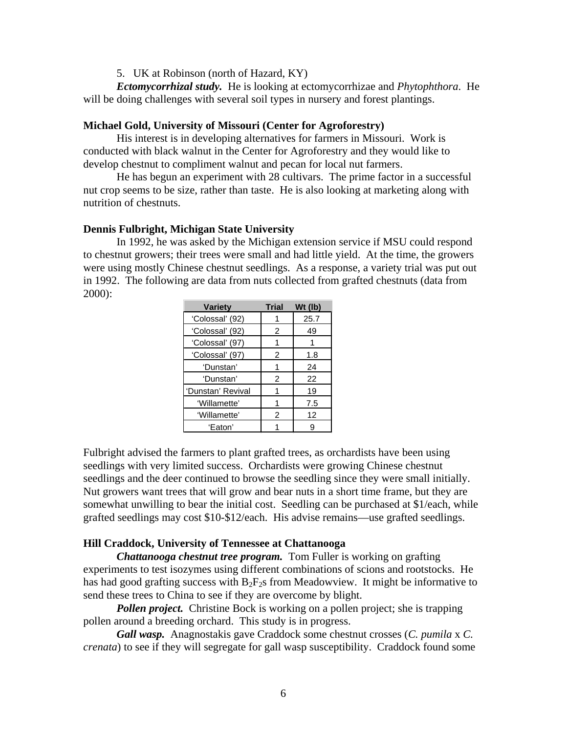### 5. UK at Robinson (north of Hazard, KY)

*Ectomycorrhizal study.* He is looking at ectomycorrhizae and *Phytophthora*. He will be doing challenges with several soil types in nursery and forest plantings.

### **Michael Gold, University of Missouri (Center for Agroforestry)**

 His interest is in developing alternatives for farmers in Missouri. Work is conducted with black walnut in the Center for Agroforestry and they would like to develop chestnut to compliment walnut and pecan for local nut farmers.

 He has begun an experiment with 28 cultivars. The prime factor in a successful nut crop seems to be size, rather than taste. He is also looking at marketing along with nutrition of chestnuts.

#### **Dennis Fulbright, Michigan State University**

 In 1992, he was asked by the Michigan extension service if MSU could respond to chestnut growers; their trees were small and had little yield. At the time, the growers were using mostly Chinese chestnut seedlings. As a response, a variety trial was put out in 1992. The following are data from nuts collected from grafted chestnuts (data from 2000):

| <b>Variety</b>    | Trial | Wt (lb) |
|-------------------|-------|---------|
| 'Colossal' (92)   |       | 25.7    |
| 'Colossal' (92)   | 2     | 49      |
| 'Colossal' (97)   |       |         |
| 'Colossal' (97)   | 2     | 1.8     |
| 'Dunstan'         |       | 24      |
| 'Dunstan'         | 2     | 22      |
| 'Dunstan' Revival |       | 19      |
| 'Willamette'      |       | 7.5     |
| 'Willamette'      | 2     | 12      |
| 'Eaton'           |       |         |

Fulbright advised the farmers to plant grafted trees, as orchardists have been using seedlings with very limited success. Orchardists were growing Chinese chestnut seedlings and the deer continued to browse the seedling since they were small initially. Nut growers want trees that will grow and bear nuts in a short time frame, but they are somewhat unwilling to bear the initial cost. Seedling can be purchased at \$1/each, while grafted seedlings may cost \$10-\$12/each. His advise remains—use grafted seedlings.

#### **Hill Craddock, University of Tennessee at Chattanooga**

*Chattanooga chestnut tree program.* Tom Fuller is working on grafting experiments to test isozymes using different combinations of scions and rootstocks. He has had good grafting success with  $B_2F_2s$  from Meadowview. It might be informative to send these trees to China to see if they are overcome by blight.

*Pollen project.* Christine Bock is working on a pollen project; she is trapping pollen around a breeding orchard. This study is in progress.

*Gall wasp.* Anagnostakis gave Craddock some chestnut crosses (*C. pumila* x *C. crenata*) to see if they will segregate for gall wasp susceptibility. Craddock found some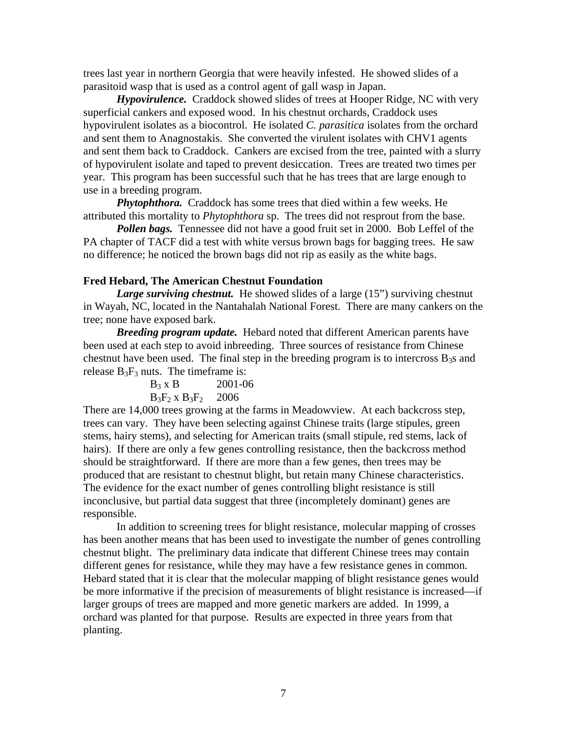trees last year in northern Georgia that were heavily infested. He showed slides of a parasitoid wasp that is used as a control agent of gall wasp in Japan.

*Hypovirulence.* Craddock showed slides of trees at Hooper Ridge, NC with very superficial cankers and exposed wood. In his chestnut orchards, Craddock uses hypovirulent isolates as a biocontrol. He isolated *C. parasitica* isolates from the orchard and sent them to Anagnostakis. She converted the virulent isolates with CHV1 agents and sent them back to Craddock. Cankers are excised from the tree, painted with a slurry of hypovirulent isolate and taped to prevent desiccation. Trees are treated two times per year. This program has been successful such that he has trees that are large enough to use in a breeding program.

*Phytophthora.* Craddock has some trees that died within a few weeks. He attributed this mortality to *Phytophthora* sp. The trees did not resprout from the base.

*Pollen bags.* Tennessee did not have a good fruit set in 2000. Bob Leffel of the PA chapter of TACF did a test with white versus brown bags for bagging trees. He saw no difference; he noticed the brown bags did not rip as easily as the white bags.

#### **Fred Hebard, The American Chestnut Foundation**

*Large surviving chestnut.* He showed slides of a large (15") surviving chestnut in Wayah, NC, located in the Nantahalah National Forest. There are many cankers on the tree; none have exposed bark.

*Breeding program update.* Hebard noted that different American parents have been used at each step to avoid inbreeding. Three sources of resistance from Chinese chestnut have been used. The final step in the breeding program is to intercross  $B_3s$  and release  $B_3F_3$  nuts. The timeframe is:

| $B_3$ x B              | 2001-06 |
|------------------------|---------|
| $B_3F_2 \times B_3F_2$ | 2006    |

There are 14,000 trees growing at the farms in Meadowview. At each backcross step, trees can vary. They have been selecting against Chinese traits (large stipules, green stems, hairy stems), and selecting for American traits (small stipule, red stems, lack of hairs). If there are only a few genes controlling resistance, then the backcross method should be straightforward. If there are more than a few genes, then trees may be produced that are resistant to chestnut blight, but retain many Chinese characteristics. The evidence for the exact number of genes controlling blight resistance is still inconclusive, but partial data suggest that three (incompletely dominant) genes are responsible.

 In addition to screening trees for blight resistance, molecular mapping of crosses has been another means that has been used to investigate the number of genes controlling chestnut blight. The preliminary data indicate that different Chinese trees may contain different genes for resistance, while they may have a few resistance genes in common. Hebard stated that it is clear that the molecular mapping of blight resistance genes would be more informative if the precision of measurements of blight resistance is increased—if larger groups of trees are mapped and more genetic markers are added. In 1999, a orchard was planted for that purpose. Results are expected in three years from that planting.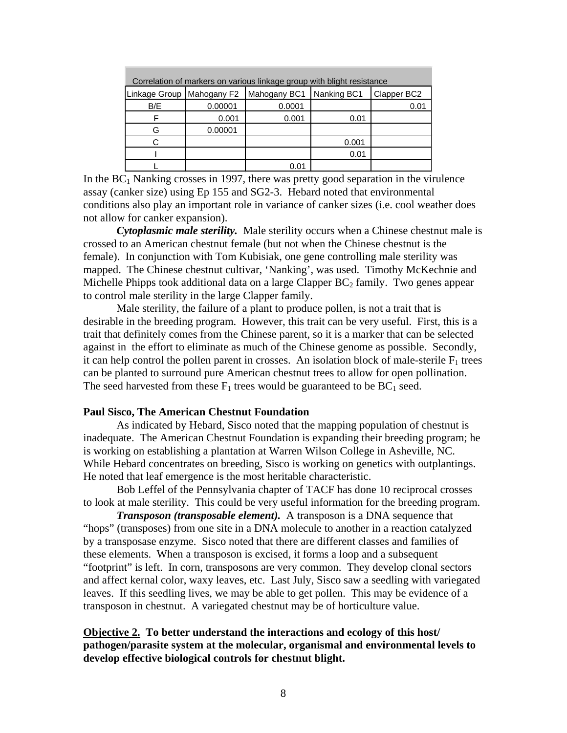| Correlation of markers on various linkage group with blight resistance |         |              |             |             |  |  |  |
|------------------------------------------------------------------------|---------|--------------|-------------|-------------|--|--|--|
| Linkage Group   Mahogany F2                                            |         | Mahogany BC1 | Nanking BC1 | Clapper BC2 |  |  |  |
| B/E                                                                    | 0.00001 | 0.0001       |             | 0.01        |  |  |  |
|                                                                        | 0.001   | 0.001        | 0.01        |             |  |  |  |
| G                                                                      | 0.00001 |              |             |             |  |  |  |
|                                                                        |         |              | 0.001       |             |  |  |  |
|                                                                        |         |              | 0.01        |             |  |  |  |
|                                                                        |         | 0.01         |             |             |  |  |  |

In the  $BC<sub>1</sub>$  Nanking crosses in 1997, there was pretty good separation in the virulence assay (canker size) using Ep 155 and SG2-3.Hebard noted that environmental conditions also play an important role in variance of canker sizes (i.e. cool weather does not allow for canker expansion).

 *Cytoplasmic male sterility.* Male sterility occurs when a Chinese chestnut male is crossed to an American chestnut female (but not when the Chinese chestnut is the female). In conjunction with Tom Kubisiak, one gene controlling male sterility was mapped. The Chinese chestnut cultivar, 'Nanking', was used. Timothy McKechnie and Michelle Phipps took additional data on a large Clapper  $BC_2$  family. Two genes appear to control male sterility in the large Clapper family.

 Male sterility, the failure of a plant to produce pollen, is not a trait that is desirable in the breeding program. However, this trait can be very useful. First, this is a trait that definitely comes from the Chinese parent, so it is a marker that can be selected against in the effort to eliminate as much of the Chinese genome as possible. Secondly, it can help control the pollen parent in crosses. An isolation block of male-sterile  $F_1$  trees can be planted to surround pure American chestnut trees to allow for open pollination. The seed harvested from these  $F_1$  trees would be guaranteed to be  $BC_1$  seed.

### **Paul Sisco, The American Chestnut Foundation**

 As indicated by Hebard, Sisco noted that the mapping population of chestnut is inadequate. The American Chestnut Foundation is expanding their breeding program; he is working on establishing a plantation at Warren Wilson College in Asheville, NC. While Hebard concentrates on breeding, Sisco is working on genetics with outplantings. He noted that leaf emergence is the most heritable characteristic.

 Bob Leffel of the Pennsylvania chapter of TACF has done 10 reciprocal crosses to look at male sterility. This could be very useful information for the breeding program.

*Transposon (transposable element).* A transposon is a DNA sequence that "hops" (transposes) from one site in a DNA molecule to another in a reaction catalyzed by a transposase enzyme. Sisco noted that there are different classes and families of these elements. When a transposon is excised, it forms a loop and a subsequent "footprint" is left. In corn, transposons are very common. They develop clonal sectors and affect kernal color, waxy leaves, etc. Last July, Sisco saw a seedling with variegated leaves. If this seedling lives, we may be able to get pollen. This may be evidence of a transposon in chestnut. A variegated chestnut may be of horticulture value.

### **Objective 2. To better understand the interactions and ecology of this host/ pathogen/parasite system at the molecular, organismal and environmental levels to develop effective biological controls for chestnut blight.**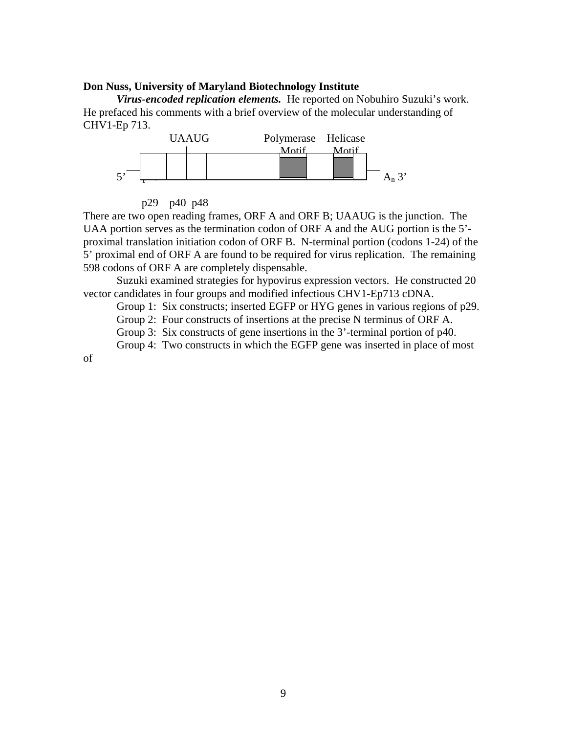### **Don Nuss, University of Maryland Biotechnology Institute**

*Virus-encoded replication elements.*He reported on Nobuhiro Suzuki's work. He prefaced his comments with a brief overview of the molecular understanding of CHV1-Ep 713.





There are two open reading frames, ORF A and ORF B; UAAUG is the junction. The UAA portion serves as the termination codon of ORF A and the AUG portion is the 5' proximal translation initiation codon of ORF B. N-terminal portion (codons 1-24) of the 5' proximal end of ORF A are found to be required for virus replication. The remaining 598 codons of ORF A are completely dispensable.

 Suzuki examined strategies for hypovirus expression vectors. He constructed 20 vector candidates in four groups and modified infectious CHV1-Ep713 cDNA.

Group 1: Six constructs; inserted EGFP or HYG genes in various regions of p29.

Group 2: Four constructs of insertions at the precise N terminus of ORF A.

Group 3: Six constructs of gene insertions in the 3'-terminal portion of p40.

Group 4: Two constructs in which the EGFP gene was inserted in place of most

of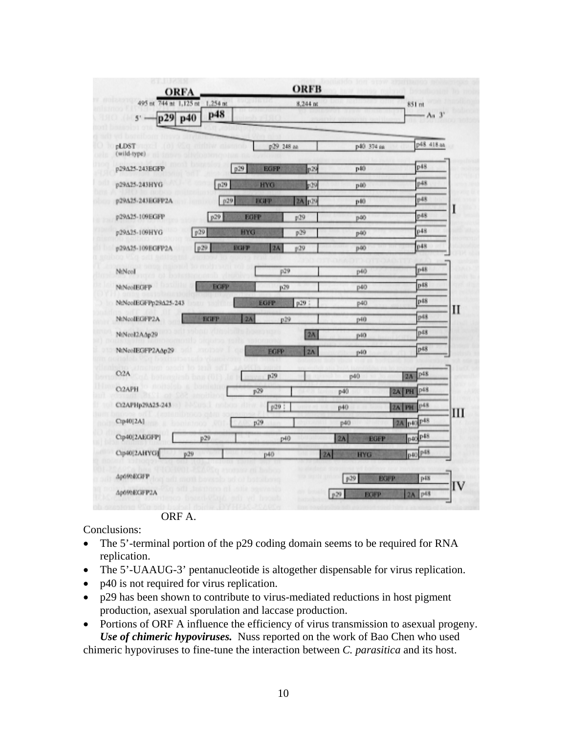| 495 nt 744 nt 1,125 nt<br>p29 p40<br>$5'$ . | $1,254$ mt<br>p48 |             |                 | 8,244 m    |     |             | 851 mt<br>$-Aa$ 3'    |    |
|---------------------------------------------|-------------------|-------------|-----------------|------------|-----|-------------|-----------------------|----|
|                                             |                   |             |                 |            |     |             |                       |    |
| pLDST<br>(wild-type)                        |                   |             | p29 248 aa      |            |     | р40 374 вв  | p48 418 aa            |    |
| p29A25-243EGFP                              |                   | p29         | <b>EGFP</b>     | p29        |     | p40         | p48                   |    |
| p29A25-243HYG                               | p29               |             | <b>HYG</b>      | p29        |     | p40         | p48                   |    |
| p29A25-243EGFP2A                            | p29               | EGP         |                 | 2A p29     |     | p40         | p48                   |    |
| p29A25-109EGFP                              | p29               | <b>EGFP</b> |                 | p29        |     | p40         | p48                   |    |
| p29<br>p29A25-109HYG                        |                   | <b>HYG</b>  |                 | p29        |     | p40         | p48                   |    |
| p29A25-109EGFP2A                            | p29               | ваер        | 2A              | p29        |     | p40         | p48                   |    |
| NiNcol                                      |                   |             | p29             |            |     | p40         | p48                   |    |
| NiNeoIEGFP                                  | <b>EGPP</b>       |             | p29             |            |     | p40         | p48                   |    |
| NtNooIEGFPp29A25-243                        |                   |             | EGFP            | p29        |     | p40         | p48                   | П  |
| NtNcoIEGFP2A                                | всить             | 2A          | p29             |            |     | p40         | p48                   |    |
| NtNco12A.op29                               |                   |             |                 | 2A         |     | p40         | p48                   |    |
| NtNcoIEGFP2AAp29                            |                   |             | <b>EGFP</b>     | $2\Lambda$ |     | p40         | p48                   |    |
| C <sub>2</sub> A                            |                   |             | p29             |            | p40 |             | p48<br>2A             |    |
| C <sub>2</sub> APH                          |                   | p29         |                 |            | p40 |             | 2A PH P <sup>48</sup> |    |
| Ct2APHp29A25-24                             |                   |             | p29 :           |            | p40 |             | p48<br>2A PH          | Ш  |
| Ctp40[2A]                                   |                   | p29         |                 |            | p40 |             | 2A p40 p48            |    |
| Cip40[2AEGFP]                               | p29               |             | P <sup>40</sup> |            | 2A  | EGFP        | p40p48                |    |
| Cip40[2AHYG]<br>p29                         |                   |             | p40             |            | 2A  | <b>HYG</b>  | p40p48                |    |
| Ap69bEX3FP                                  |                   |             |                 |            | p29 | <b>BGFP</b> | p48                   |    |
| Ap69bEGFP2A                                 |                   |             |                 |            | p29 | <b>EGFP</b> | 2A p48                | ľV |

ORF A.

Conclusions:

- The 5'-terminal portion of the p29 coding domain seems to be required for RNA replication.
- The 5'-UAAUG-3' pentanucleotide is altogether dispensable for virus replication.
- p40 is not required for virus replication.
- p29 has been shown to contribute to virus-mediated reductions in host pigment production, asexual sporulation and laccase production.
- Portions of ORF A influence the efficiency of virus transmission to asexual progeny. *Use of chimeric hypoviruses.* Nuss reported on the work of Bao Chen who used chimeric hypoviruses to fine-tune the interaction between *C. parasitica* and its host.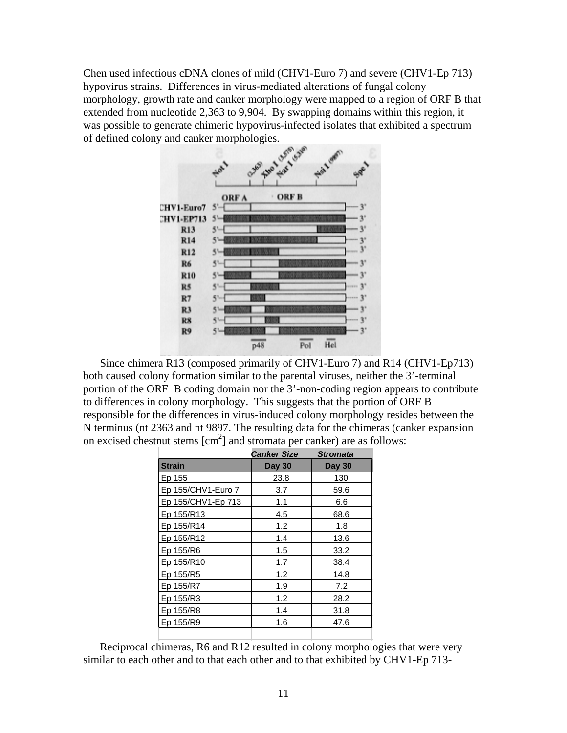Chen used infectious cDNA clones of mild (CHV1-Euro 7) and severe (CHV1-Ep 713) hypovirus strains. Differences in virus-mediated alterations of fungal colony morphology, growth rate and canker morphology were mapped to a region of ORF B that extended from nucleotide 2,363 to 9,904. By swapping domains within this region, it was possible to generate chimeric hypovirus-infected isolates that exhibited a spectrum of defined colony and canker morphologies.



Since chimera R13 (composed primarily of CHV1-Euro 7) and R14 (CHV1-Ep713) both caused colony formation similar to the parental viruses, neither the 3'-terminal portion of the ORF B coding domain nor the 3'-non-coding region appears to contribute to differences in colony morphology. This suggests that the portion of ORF B responsible for the differences in virus-induced colony morphology resides between the N terminus (nt 2363 and nt 9897. The resulting data for the chimeras (canker expansion on excised chestnut stems  $[cm^2]$  and stromata per canker) are as follows:

|                    | <b>Canker Size</b> | <b>Stromata</b> |
|--------------------|--------------------|-----------------|
| <b>Strain</b>      | <b>Day 30</b>      | <b>Day 30</b>   |
| Ep 155             | 23.8               | 130             |
| Ep 155/CHV1-Euro 7 | 3.7                | 59.6            |
| Ep 155/CHV1-Ep 713 | 1.1                | 6.6             |
| Ep 155/R13         | 4.5                | 68.6            |
| Ep 155/R14         | 1.2                | 1.8             |
| Ep 155/R12         | 1.4                | 13.6            |
| Ep 155/R6          | 1.5                | 33.2            |
| Ep 155/R10         | 1.7                | 38.4            |
| Ep 155/R5          | 1.2                | 14.8            |
| Ep 155/R7          | 1.9                | 7.2             |
| Ep 155/R3          | 1.2                | 28.2            |
| Ep 155/R8          | 1.4                | 31.8            |
| Ep 155/R9          | 1.6                | 47.6            |
|                    |                    |                 |

Reciprocal chimeras, R6 and R12 resulted in colony morphologies that were very similar to each other and to that each other and to that exhibited by CHV1-Ep 713-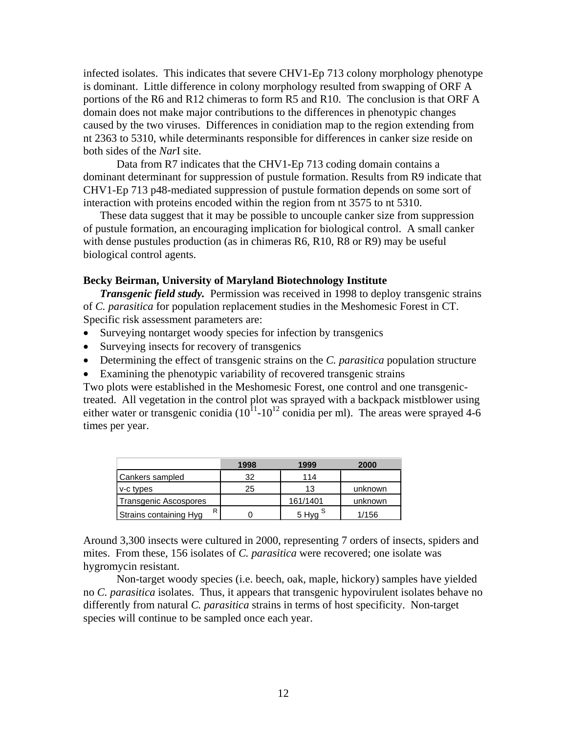infected isolates. This indicates that severe CHV1-Ep 713 colony morphology phenotype is dominant. Little difference in colony morphology resulted from swapping of ORF A portions of the R6 and R12 chimeras to form R5 and R10. The conclusion is that ORF A domain does not make major contributions to the differences in phenotypic changes caused by the two viruses. Differences in conidiation map to the region extending from nt 2363 to 5310, while determinants responsible for differences in canker size reside on both sides of the *Nar*I site.

 Data from R7 indicates that the CHV1-Ep 713 coding domain contains a dominant determinant for suppression of pustule formation. Results from R9 indicate that CHV1-Ep 713 p48-mediated suppression of pustule formation depends on some sort of interaction with proteins encoded within the region from nt 3575 to nt 5310.

These data suggest that it may be possible to uncouple canker size from suppression of pustule formation, an encouraging implication for biological control. A small canker with dense pustules production (as in chimeras R6, R10, R8 or R9) may be useful biological control agents.

### **Becky Beirman, University of Maryland Biotechnology Institute**

*Transgenic field study.* Permission was received in 1998 to deploy transgenic strains of *C. parasitica* for population replacement studies in the Meshomesic Forest in CT. Specific risk assessment parameters are:

- Surveying nontarget woody species for infection by transgenics
- Surveying insects for recovery of transgenics
- Determining the effect of transgenic strains on the *C. parasitica* population structure
- Examining the phenotypic variability of recovered transgenic strains

Two plots were established in the Meshomesic Forest, one control and one transgenictreated. All vegetation in the control plot was sprayed with a backpack mistblower using either water or transgenic conidia ( $10^{11}$ - $10^{12}$  conidia per ml). The areas were sprayed 4-6 times per year.

|                        | 1998 | 1999               | 2000    |
|------------------------|------|--------------------|---------|
| Cankers sampled        | 32   | 114                |         |
| v-c types              | 25   | 13                 | unknown |
| Transgenic Ascospores  |      | 161/1401           | unknown |
| Strains containing Hyg |      | 5 Hyg <sup>S</sup> | 1/156   |

Around 3,300 insects were cultured in 2000, representing 7 orders of insects, spiders and mites. From these, 156 isolates of *C. parasitica* were recovered; one isolate was hygromycin resistant.

 Non-target woody species (i.e. beech, oak, maple, hickory) samples have yielded no *C. parasitica* isolates. Thus, it appears that transgenic hypovirulent isolates behave no differently from natural *C. parasitica* strains in terms of host specificity. Non-target species will continue to be sampled once each year.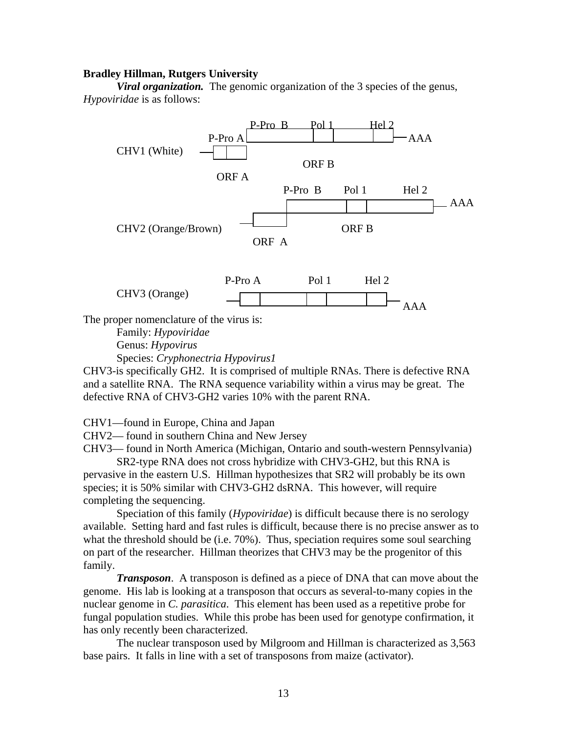#### **Bradley Hillman, Rutgers University**

*Viral organization.* The genomic organization of the 3 species of the genus, *Hypoviridae* is as follows:



Species: *Cryphonectria Hypovirus1*

CHV3-is specifically GH2. It is comprised of multiple RNAs. There is defective RNA and a satellite RNA. The RNA sequence variability within a virus may be great. The defective RNA of CHV3-GH2 varies 10% with the parent RNA.

CHV1—found in Europe, China and Japan

CHV2— found in southern China and New Jersey

CHV3— found in North America (Michigan, Ontario and south-western Pennsylvania)

 SR2-type RNA does not cross hybridize with CHV3-GH2, but this RNA is pervasive in the eastern U.S. Hillman hypothesizes that SR2 will probably be its own species; it is 50% similar with CHV3-GH2 dsRNA. This however, will require completing the sequencing.

 Speciation of this family (*Hypoviridae*) is difficult because there is no serology available. Setting hard and fast rules is difficult, because there is no precise answer as to what the threshold should be (i.e. 70%). Thus, speciation requires some soul searching on part of the researcher. Hillman theorizes that CHV3 may be the progenitor of this family.

*Transposon*. A transposon is defined as a piece of DNA that can move about the genome. His lab is looking at a transposon that occurs as several-to-many copies in the nuclear genome in *C. parasitica*. This element has been used as a repetitive probe for fungal population studies. While this probe has been used for genotype confirmation, it has only recently been characterized.

 The nuclear transposon used by Milgroom and Hillman is characterized as 3,563 base pairs. It falls in line with a set of transposons from maize (activator).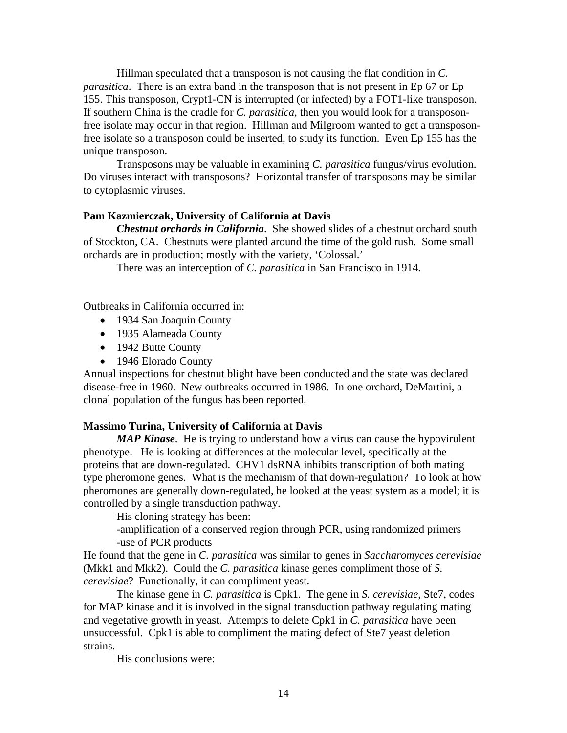Hillman speculated that a transposon is not causing the flat condition in *C. parasitica*. There is an extra band in the transposon that is not present in Ep 67 or Ep 155. This transposon, Crypt1-CN is interrupted (or infected) by a FOT1-like transposon. If southern China is the cradle for *C. parasitica,* then you would look for a transposonfree isolate may occur in that region. Hillman and Milgroom wanted to get a transposonfree isolate so a transposon could be inserted, to study its function. Even Ep 155 has the unique transposon.

 Transposons may be valuable in examining *C. parasitica* fungus/virus evolution. Do viruses interact with transposons? Horizontal transfer of transposons may be similar to cytoplasmic viruses.

### **Pam Kazmierczak, University of California at Davis**

*Chestnut orchards in California*. She showed slides of a chestnut orchard south of Stockton, CA. Chestnuts were planted around the time of the gold rush. Some small orchards are in production; mostly with the variety, 'Colossal.'

There was an interception of *C. parasitica* in San Francisco in 1914.

Outbreaks in California occurred in:

- 1934 San Joaquin County
- 1935 Alameada County
- 1942 Butte County
- 1946 Elorado County

Annual inspections for chestnut blight have been conducted and the state was declared disease-free in 1960. New outbreaks occurred in 1986. In one orchard, DeMartini, a clonal population of the fungus has been reported.

### **Massimo Turina, University of California at Davis**

*MAP Kinase*. He is trying to understand how a virus can cause the hypovirulent phenotype. He is looking at differences at the molecular level, specifically at the proteins that are down-regulated. CHV1 dsRNA inhibits transcription of both mating type pheromone genes. What is the mechanism of that down-regulation? To look at how pheromones are generally down-regulated, he looked at the yeast system as a model; it is controlled by a single transduction pathway.

His cloning strategy has been:

 -amplification of a conserved region through PCR, using randomized primers -use of PCR products

He found that the gene in *C. parasitica* was similar to genes in *Saccharomyces cerevisiae* (Mkk1 and Mkk2). Could the *C. parasitica* kinase genes compliment those of *S. cerevisiae*? Functionally, it can compliment yeast.

 The kinase gene in *C. parasitica* is Cpk1. The gene in *S. cerevisiae*, Ste7, codes for MAP kinase and it is involved in the signal transduction pathway regulating mating and vegetative growth in yeast. Attempts to delete Cpk1 in *C. parasitica* have been unsuccessful. Cpk1 is able to compliment the mating defect of Ste7 yeast deletion strains.

His conclusions were: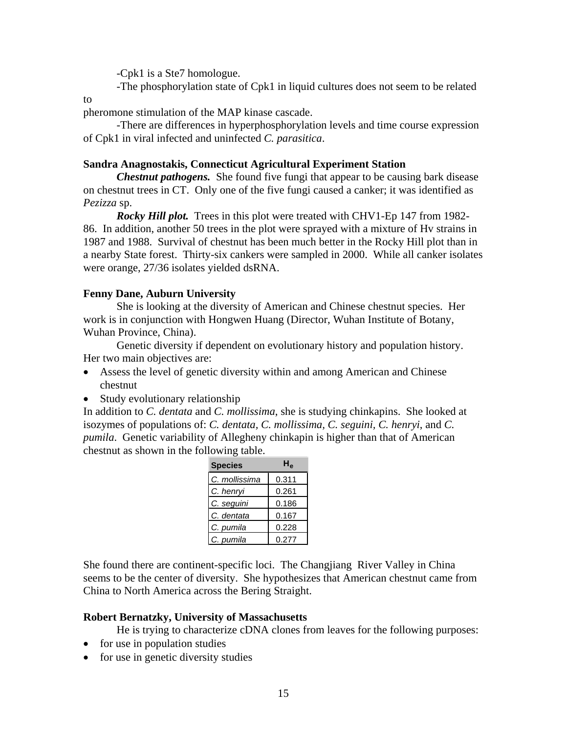-Cpk1 is a Ste7 homologue.

-The phosphorylation state of Cpk1 in liquid cultures does not seem to be related

to

pheromone stimulation of the MAP kinase cascade.

 -There are differences in hyperphosphorylation levels and time course expression of Cpk1 in viral infected and uninfected *C. parasitica*.

### **Sandra Anagnostakis, Connecticut Agricultural Experiment Station**

*Chestnut pathogens.* She found five fungi that appear to be causing bark disease on chestnut trees in CT. Only one of the five fungi caused a canker; it was identified as *Pezizza* sp.

*Rocky Hill plot.* Trees in this plot were treated with CHV1-Ep 147 from 1982- 86. In addition, another 50 trees in the plot were sprayed with a mixture of Hv strains in 1987 and 1988. Survival of chestnut has been much better in the Rocky Hill plot than in a nearby State forest. Thirty-six cankers were sampled in 2000. While all canker isolates were orange, 27/36 isolates yielded dsRNA.

# **Fenny Dane, Auburn University**

She is looking at the diversity of American and Chinese chestnut species. Her work is in conjunction with Hongwen Huang (Director, Wuhan Institute of Botany, Wuhan Province, China).

 Genetic diversity if dependent on evolutionary history and population history. Her two main objectives are:

- Assess the level of genetic diversity within and among American and Chinese chestnut
- Study evolutionary relationship

In addition to *C. dentata* and *C. mollissima*, she is studying chinkapins. She looked at isozymes of populations of: *C. dentata, C. mollissima, C. seguini, C. henryi*, and *C. pumila*. Genetic variability of Allegheny chinkapin is higher than that of American chestnut as shown in the following table.

| <b>Species</b> | Н,    |
|----------------|-------|
| C. mollissima  | 0.311 |
| C. henryi      | 0.261 |
| C. seguini     | 0.186 |
| C. dentata     | 0.167 |
| C. pumila      | 0.228 |
| C. pumila      | 0.277 |

She found there are continent-specific loci. The Changjiang River Valley in China seems to be the center of diversity. She hypothesizes that American chestnut came from China to North America across the Bering Straight.

# **Robert Bernatzky, University of Massachusetts**

He is trying to characterize cDNA clones from leaves for the following purposes:

- for use in population studies
- for use in genetic diversity studies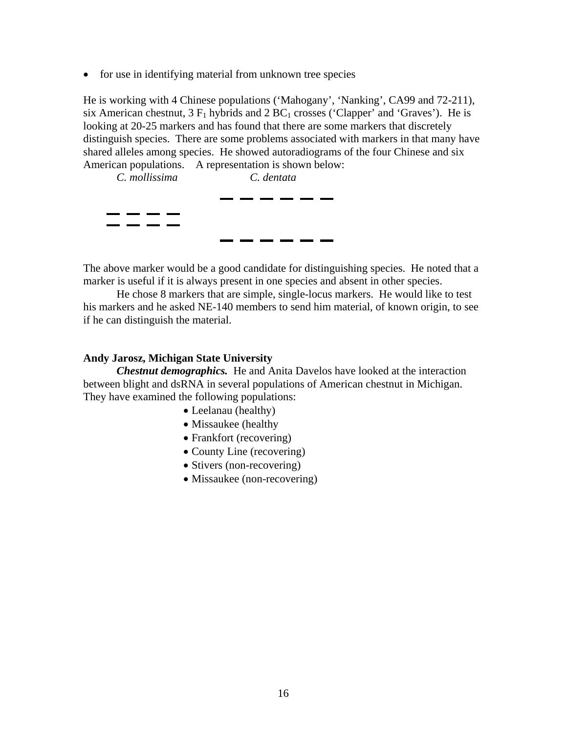• for use in identifying material from unknown tree species

He is working with 4 Chinese populations ('Mahogany', 'Nanking', CA99 and 72-211), six American chestnut,  $3 F_1$  hybrids and  $2 BC_1$  crosses ('Clapper' and 'Graves'). He is looking at 20-25 markers and has found that there are some markers that discretely distinguish species. There are some problems associated with markers in that many have shared alleles among species. He showed autoradiograms of the four Chinese and six American populations. A representation is shown below:



The above marker would be a good candidate for distinguishing species. He noted that a marker is useful if it is always present in one species and absent in other species.

 He chose 8 markers that are simple, single-locus markers. He would like to test his markers and he asked NE-140 members to send him material, of known origin, to see if he can distinguish the material.

### **Andy Jarosz, Michigan State University**

*Chestnut demographics.* He and Anita Davelos have looked at the interaction between blight and dsRNA in several populations of American chestnut in Michigan. They have examined the following populations:

- Leelanau (healthy)
- Missaukee (healthy
- Frankfort (recovering)
- County Line (recovering)
- Stivers (non-recovering)
- Missaukee (non-recovering)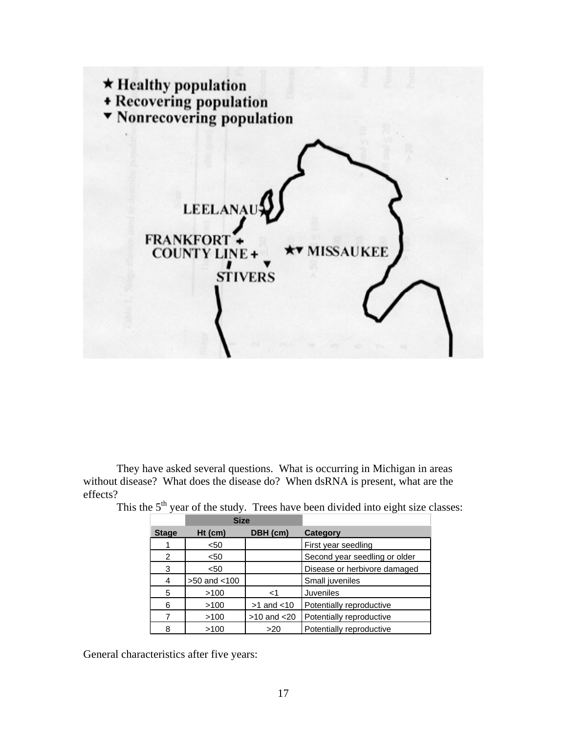

 They have asked several questions. What is occurring in Michigan in areas without disease? What does the disease do? When dsRNA is present, what are the effects?

|              | <b>Size</b>       |                  |                               |
|--------------|-------------------|------------------|-------------------------------|
| <b>Stage</b> | $Ht$ (cm)         | DBH (cm)         | Category                      |
|              | $50$              |                  | First year seedling           |
| 2            | $50$              |                  | Second year seedling or older |
| 3            | $50$              |                  | Disease or herbivore damaged  |
| 4            | $>50$ and $< 100$ |                  | Small juveniles               |
| 5            | >100              | ا>               | <b>Juveniles</b>              |
| 6            | >100              | $>1$ and $< 10$  | Potentially reproductive      |
|              | >100              | $>10$ and $< 20$ | Potentially reproductive      |
| 8            | >100              | >20              | Potentially reproductive      |

This the  $5<sup>th</sup>$  year of the study. Trees have been divided into eight size classes:

General characteristics after five years: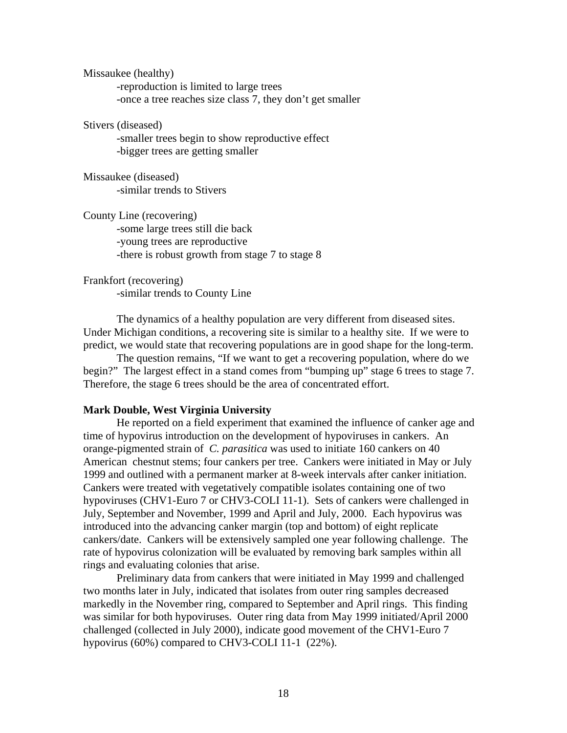Missaukee (healthy) -reproduction is limited to large trees -once a tree reaches size class 7, they don't get smaller

Stivers (diseased)

 -smaller trees begin to show reproductive effect -bigger trees are getting smaller

Missaukee (diseased) -similar trends to Stivers

County Line (recovering)

 -some large trees still die back -young trees are reproductive -there is robust growth from stage 7 to stage 8

Frankfort (recovering) -similar trends to County Line

 The dynamics of a healthy population are very different from diseased sites. Under Michigan conditions, a recovering site is similar to a healthy site. If we were to predict, we would state that recovering populations are in good shape for the long-term.

 The question remains, "If we want to get a recovering population, where do we begin?" The largest effect in a stand comes from "bumping up" stage 6 trees to stage 7. Therefore, the stage 6 trees should be the area of concentrated effort.

#### **Mark Double, West Virginia University**

 He reported on a field experiment that examined the influence of canker age and time of hypovirus introduction on the development of hypoviruses in cankers. An orange-pigmented strain of *C. parasitica* was used to initiate 160 cankers on 40 American chestnut stems; four cankers per tree. Cankers were initiated in May or July 1999 and outlined with a permanent marker at 8-week intervals after canker initiation. Cankers were treated with vegetatively compatible isolates containing one of two hypoviruses (CHV1-Euro 7 or CHV3-COLI 11-1). Sets of cankers were challenged in July, September and November, 1999 and April and July, 2000. Each hypovirus was introduced into the advancing canker margin (top and bottom) of eight replicate cankers/date. Cankers will be extensively sampled one year following challenge. The rate of hypovirus colonization will be evaluated by removing bark samples within all rings and evaluating colonies that arise.

 Preliminary data from cankers that were initiated in May 1999 and challenged two months later in July, indicated that isolates from outer ring samples decreased markedly in the November ring, compared to September and April rings. This finding was similar for both hypoviruses. Outer ring data from May 1999 initiated/April 2000 challenged (collected in July 2000), indicate good movement of the CHV1-Euro 7 hypovirus (60%) compared to CHV3-COLI 11-1 (22%).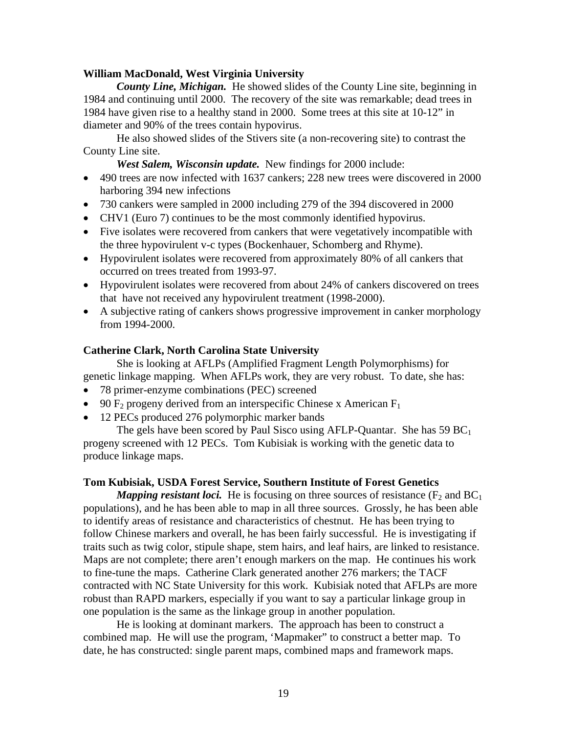### **William MacDonald, West Virginia University**

*County Line, Michigan.* He showed slides of the County Line site, beginning in 1984 and continuing until 2000. The recovery of the site was remarkable; dead trees in 1984 have given rise to a healthy stand in 2000. Some trees at this site at 10-12" in diameter and 90% of the trees contain hypovirus.

 He also showed slides of the Stivers site (a non-recovering site) to contrast the County Line site.

*West Salem, Wisconsin update.* New findings for 2000 include:

- 490 trees are now infected with 1637 cankers; 228 new trees were discovered in 2000 harboring 394 new infections
- 730 cankers were sampled in 2000 including 279 of the 394 discovered in 2000
- CHV1 (Euro 7) continues to be the most commonly identified hypovirus.
- Five isolates were recovered from cankers that were vegetatively incompatible with the three hypovirulent v-c types (Bockenhauer, Schomberg and Rhyme).
- Hypovirulent isolates were recovered from approximately 80% of all cankers that occurred on trees treated from 1993-97.
- Hypovirulent isolates were recovered from about 24% of cankers discovered on trees that have not received any hypovirulent treatment (1998-2000).
- A subjective rating of cankers shows progressive improvement in canker morphology from 1994-2000.

### **Catherine Clark, North Carolina State University**

 She is looking at AFLPs (Amplified Fragment Length Polymorphisms) for genetic linkage mapping. When AFLPs work, they are very robust. To date, she has:

- 78 primer-enzyme combinations (PEC) screened
- 90  $F_2$  progeny derived from an interspecific Chinese x American  $F_1$
- 12 PECs produced 276 polymorphic marker bands

The gels have been scored by Paul Sisco using AFLP-Quantar. She has  $59 BC<sub>1</sub>$ progeny screened with 12 PECs. Tom Kubisiak is working with the genetic data to produce linkage maps.

### **Tom Kubisiak, USDA Forest Service, Southern Institute of Forest Genetics**

*Mapping resistant loci.* He is focusing on three sources of resistance  $(F_2 \text{ and } BC_1)$ populations), and he has been able to map in all three sources. Grossly, he has been able to identify areas of resistance and characteristics of chestnut. He has been trying to follow Chinese markers and overall, he has been fairly successful. He is investigating if traits such as twig color, stipule shape, stem hairs, and leaf hairs, are linked to resistance. Maps are not complete; there aren't enough markers on the map. He continues his work to fine-tune the maps. Catherine Clark generated another 276 markers; the TACF contracted with NC State University for this work. Kubisiak noted that AFLPs are more robust than RAPD markers, especially if you want to say a particular linkage group in one population is the same as the linkage group in another population.

 He is looking at dominant markers. The approach has been to construct a combined map. He will use the program, 'Mapmaker" to construct a better map. To date, he has constructed: single parent maps, combined maps and framework maps.